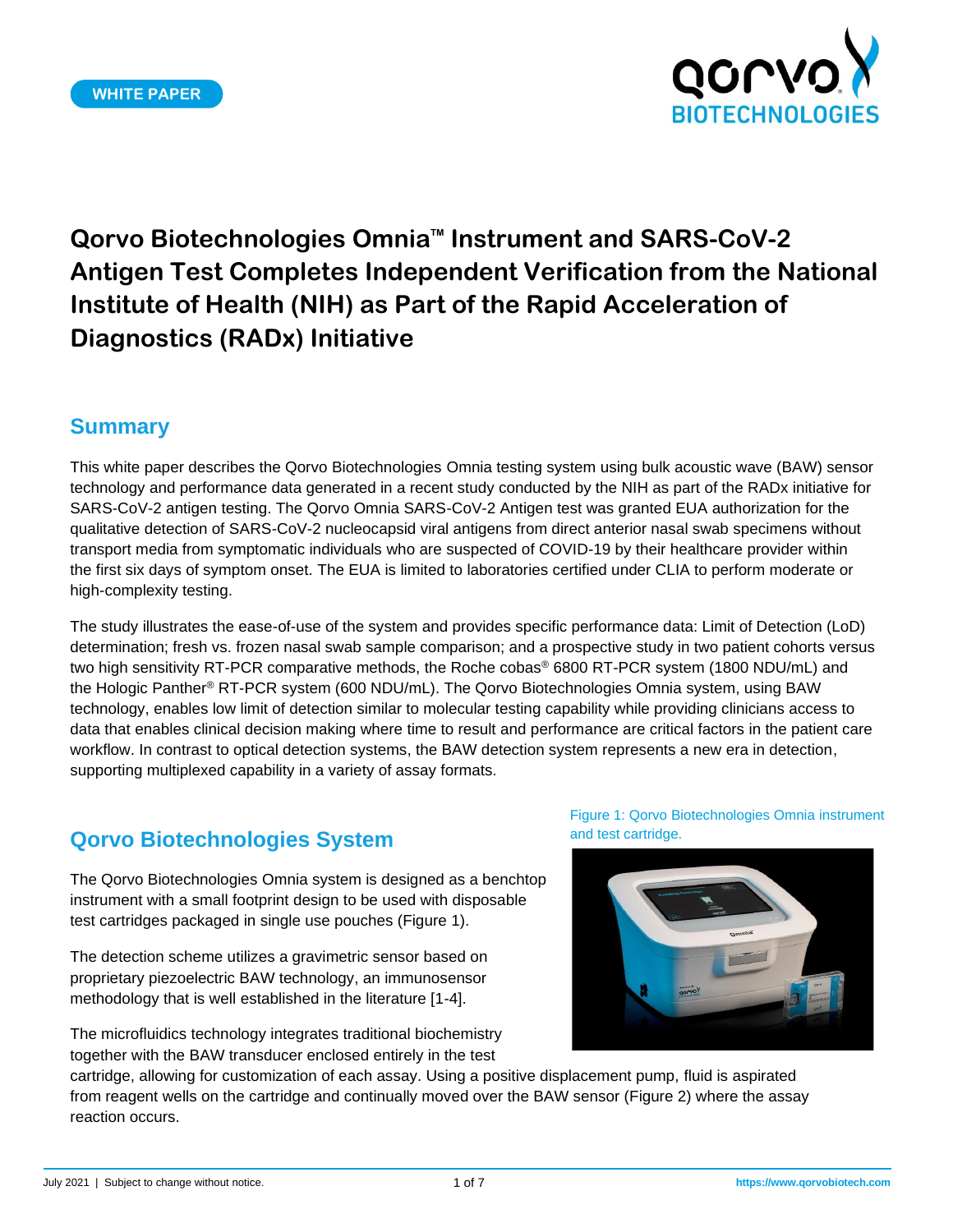

## **Summary**

This white paper describes the Qorvo Biotechnologies Omnia testing system using bulk acoustic wave (BAW) sensor technology and performance data generated in a recent study conducted by the NIH as part of the RADx initiative for SARS-CoV-2 antigen testing. The Qorvo Omnia SARS-CoV-2 Antigen test was granted EUA authorization for the qualitative detection of SARS-CoV-2 nucleocapsid viral antigens from direct anterior nasal swab specimens without transport media from symptomatic individuals who are suspected of COVID-19 by their healthcare provider within the first six days of symptom onset. The EUA is limited to laboratories certified under CLIA to perform moderate or high-complexity testing.

The study illustrates the ease-of-use of the system and provides specific performance data: Limit of Detection (LoD) determination; fresh vs. frozen nasal swab sample comparison; and a prospective study in two patient cohorts versus two high sensitivity RT-PCR comparative methods, the Roche cobas® 6800 RT-PCR system (1800 NDU/mL) and the Hologic Panther® RT-PCR system (600 NDU/mL). The Qorvo Biotechnologies Omnia system, using BAW technology, enables low limit of detection similar to molecular testing capability while providing clinicians access to data that enables clinical decision making where time to result and performance are critical factors in the patient care workflow. In contrast to optical detection systems, the BAW detection system represents a new era in detection, supporting multiplexed capability in a variety of assay formats.

## **Qorvo Biotechnologies System**

The Qorvo Biotechnologies Omnia system is designed as a benchtop instrument with a small footprint design to be used with disposable test cartridges packaged in single use pouches (Figure 1).

The detection scheme utilizes a gravimetric sensor based on proprietary piezoelectric BAW technology, an immunosensor methodology that is well established in the literature [1-4].

The microfluidics technology integrates traditional biochemistry together with the BAW transducer enclosed entirely in the test

Figure 1: Qorvo Biotechnologies Omnia instrument and test cartridge.



cartridge, allowing for customization of each assay. Using a positive displacement pump, fluid is aspirated from reagent wells on the cartridge and continually moved over the BAW sensor (Figure 2) where the assay reaction occurs.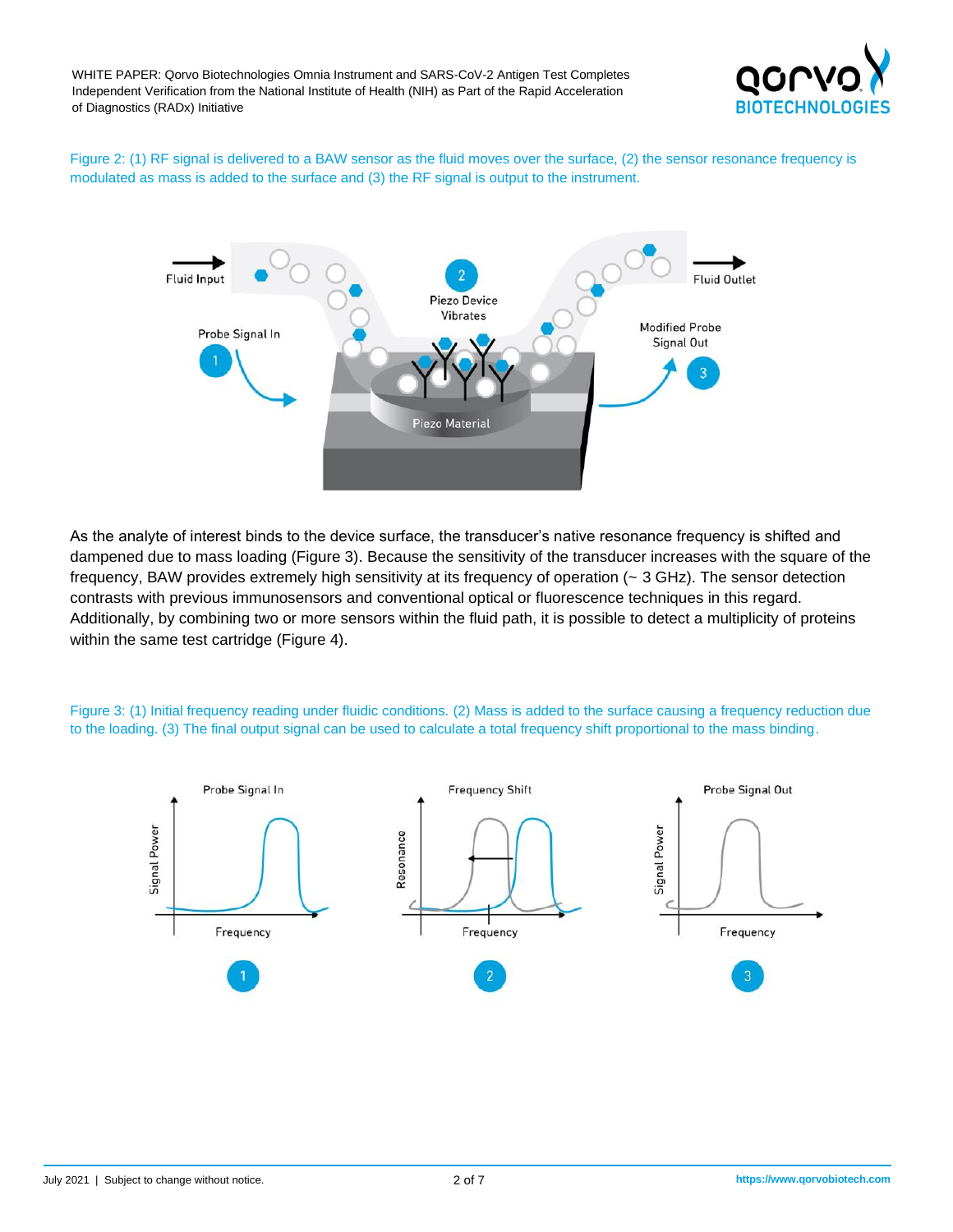

Figure 2: (1) RF signal is delivered to a BAW sensor as the fluid moves over the surface, (2) the sensor resonance frequency is modulated as mass is added to the surface and (3) the RF signal is output to the instrument.



As the analyte of interest binds to the device surface, the transducer's native resonance frequency is shifted and dampened due to mass loading (Figure 3). Because the sensitivity of the transducer increases with the square of the frequency, BAW provides extremely high sensitivity at its frequency of operation (~ 3 GHz). The sensor detection contrasts with previous immunosensors and conventional optical or fluorescence techniques in this regard. Additionally, by combining two or more sensors within the fluid path, it is possible to detect a multiplicity of proteins within the same test cartridge (Figure 4).

Figure 3: (1) Initial frequency reading under fluidic conditions. (2) Mass is added to the surface causing a frequency reduction due to the loading. (3) The final output signal can be used to calculate a total frequency shift proportional to the mass binding.

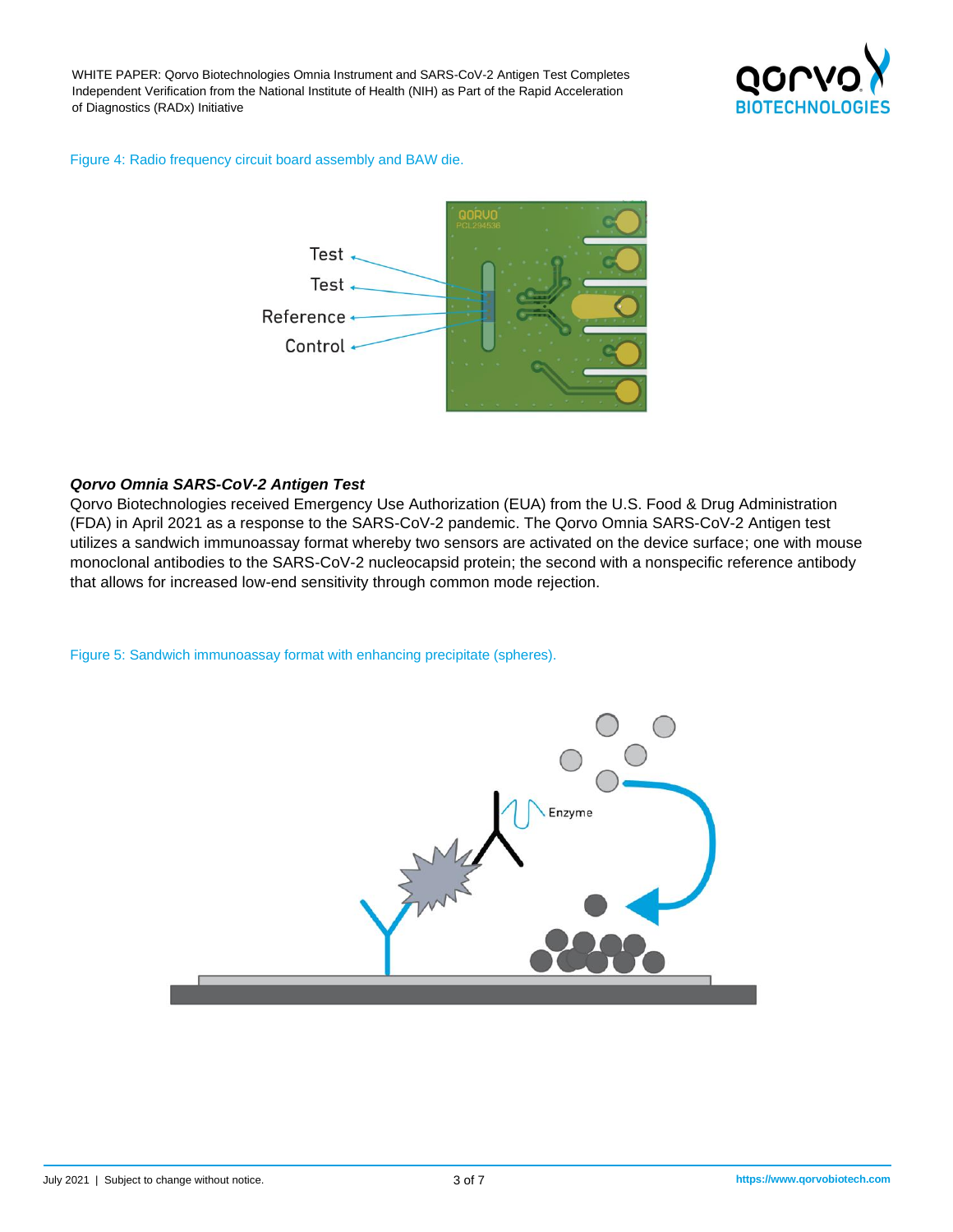

#### Figure 4: Radio frequency circuit board assembly and BAW die.



#### *Qorvo Omnia SARS-CoV-2 Antigen Test*

Qorvo Biotechnologies received Emergency Use Authorization (EUA) from the U.S. Food & Drug Administration (FDA) in April 2021 as a response to the SARS-CoV-2 pandemic. The Qorvo Omnia SARS-CoV-2 Antigen test utilizes a sandwich immunoassay format whereby two sensors are activated on the device surface; one with mouse monoclonal antibodies to the SARS-CoV-2 nucleocapsid protein; the second with a nonspecific reference antibody that allows for increased low-end sensitivity through common mode rejection.

Figure 5: Sandwich immunoassay format with enhancing precipitate (spheres).

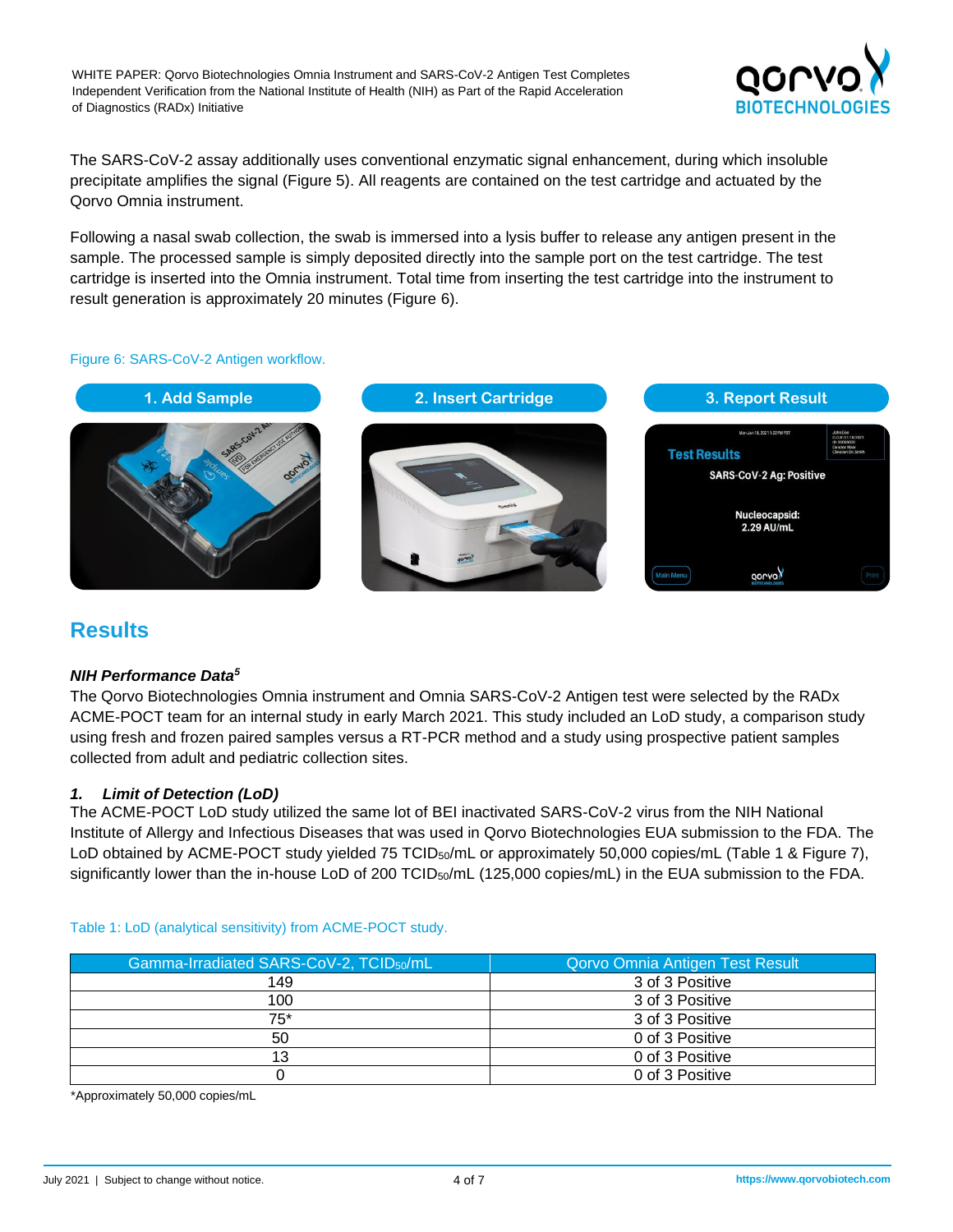

The SARS-CoV-2 assay additionally uses conventional enzymatic signal enhancement, during which insoluble precipitate amplifies the signal (Figure 5). All reagents are contained on the test cartridge and actuated by the Qorvo Omnia instrument.

Following a nasal swab collection, the swab is immersed into a lysis buffer to release any antigen present in the sample. The processed sample is simply deposited directly into the sample port on the test cartridge. The test cartridge is inserted into the Omnia instrument. Total time from inserting the test cartridge into the instrument to result generation is approximately 20 minutes (Figure 6).

#### Figure 6: SARS-CoV-2 Antigen workflow.



## **Results**

#### *NIH Performance Data<sup>5</sup>*

The Qorvo Biotechnologies Omnia instrument and Omnia SARS-CoV-2 Antigen test were selected by the RADx ACME-POCT team for an internal study in early March 2021. This study included an LoD study, a comparison study using fresh and frozen paired samples versus a RT-PCR method and a study using prospective patient samples collected from adult and pediatric collection sites.

#### *1. Limit of Detection (LoD)*

The ACME-POCT LoD study utilized the same lot of BEI inactivated SARS-CoV-2 virus from the NIH National Institute of Allergy and Infectious Diseases that was used in Qorvo Biotechnologies EUA submission to the FDA. The LoD obtained by ACME-POCT study yielded 75 TCID<sub>50</sub>/mL or approximately 50,000 copies/mL (Table 1 & Figure 7), significantly lower than the in-house LoD of 200 TCID<sub>50</sub>/mL (125,000 copies/mL) in the EUA submission to the FDA.

| Gamma-Irradiated SARS-CoV-2, TCID <sub>50</sub> /mL | Qorvo Omnia Antigen Test Result |
|-----------------------------------------------------|---------------------------------|
| 149                                                 | 3 of 3 Positive                 |
| 100                                                 | 3 of 3 Positive                 |
| 75*                                                 | 3 of 3 Positive                 |
| 50                                                  | 0 of 3 Positive                 |
|                                                     | 0 of 3 Positive                 |
|                                                     | 0 of 3 Positive                 |

#### Table 1: LoD (analytical sensitivity) from ACME-POCT study.

\*Approximately 50,000 copies/mL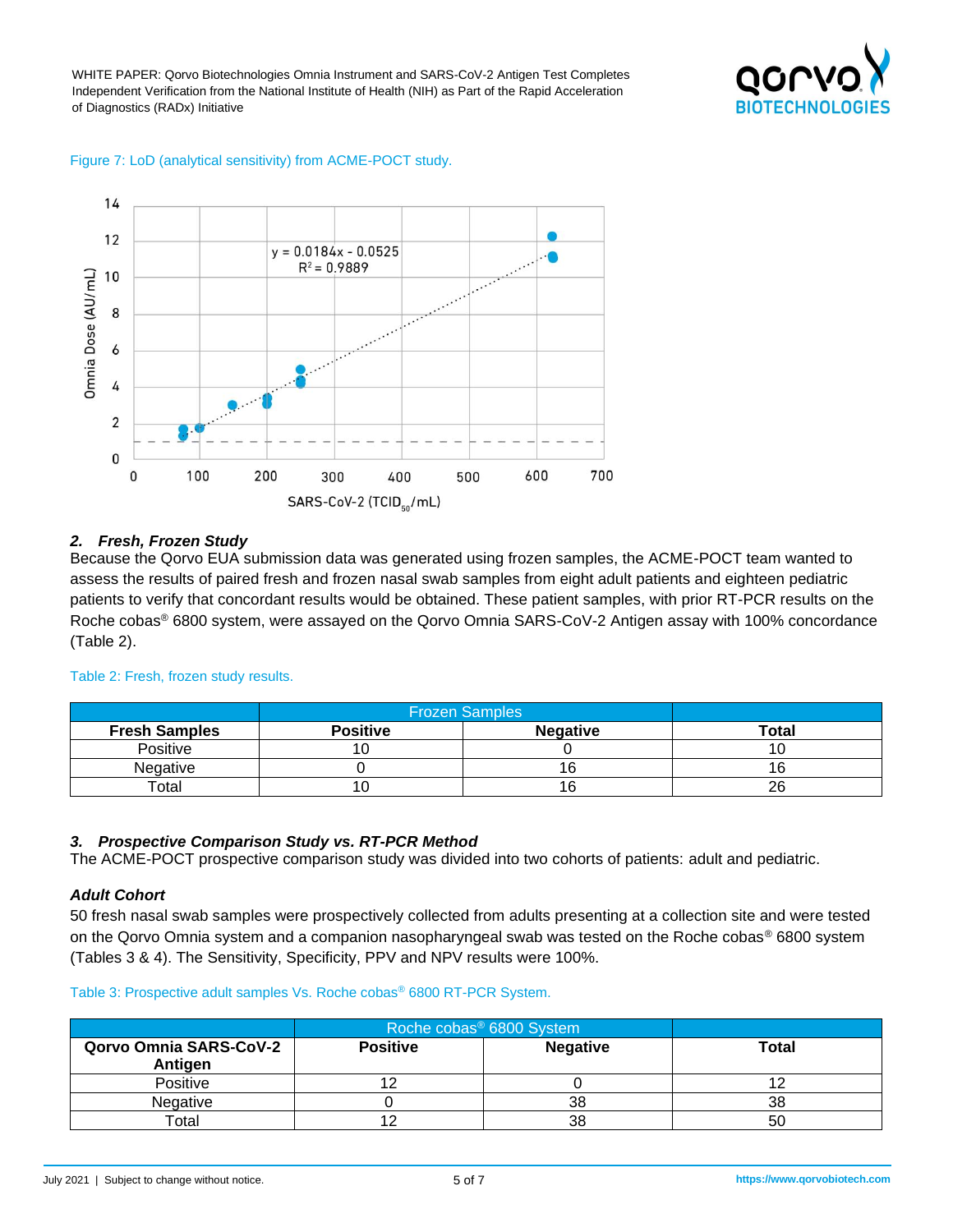#### Figure 7: LoD (analytical sensitivity) from ACME-POCT study.



#### *2. Fresh, Frozen Study*

Because the Qorvo EUA submission data was generated using frozen samples, the ACME-POCT team wanted to assess the results of paired fresh and frozen nasal swab samples from eight adult patients and eighteen pediatric patients to verify that concordant results would be obtained. These patient samples, with prior RT-PCR results on the Roche cobas® 6800 system, were assayed on the Qorvo Omnia SARS-CoV-2 Antigen assay with 100% concordance (Table 2).

|                      | <b>Frozen Samples</b> |                  |              |
|----------------------|-----------------------|------------------|--------------|
| <b>Fresh Samples</b> | <b>Positive</b>       | <b>Negative</b>  | <b>Total</b> |
| Positive             |                       |                  |              |
| <b>Negative</b>      |                       | $\sqrt{2}$<br>16 |              |
| $\tau$ otal          |                       | $\sim$<br>16     | 26           |

#### Table 2: Fresh, frozen study results.

#### *3. Prospective Comparison Study vs. RT-PCR Method*

The ACME-POCT prospective comparison study was divided into two cohorts of patients: adult and pediatric.

#### *Adult Cohort*

50 fresh nasal swab samples were prospectively collected from adults presenting at a collection site and were tested on the Qorvo Omnia system and a companion nasopharyngeal swab was tested on the Roche cobas® 6800 system (Tables 3 & 4). The Sensitivity, Specificity, PPV and NPV results were 100%.

#### Table 3: Prospective adult samples Vs. Roche cobas® 6800 RT-PCR System.

|                                          | Roche cobas <sup>®</sup> 6800 System |                 |              |
|------------------------------------------|--------------------------------------|-----------------|--------------|
| <b>Qorvo Omnia SARS-CoV-2</b><br>Antigen | <b>Positive</b>                      | <b>Negative</b> | <b>Total</b> |
| Positive                                 |                                      |                 |              |
| Negative                                 |                                      | 38              | 38           |
| Total                                    |                                      | 38              | 50           |

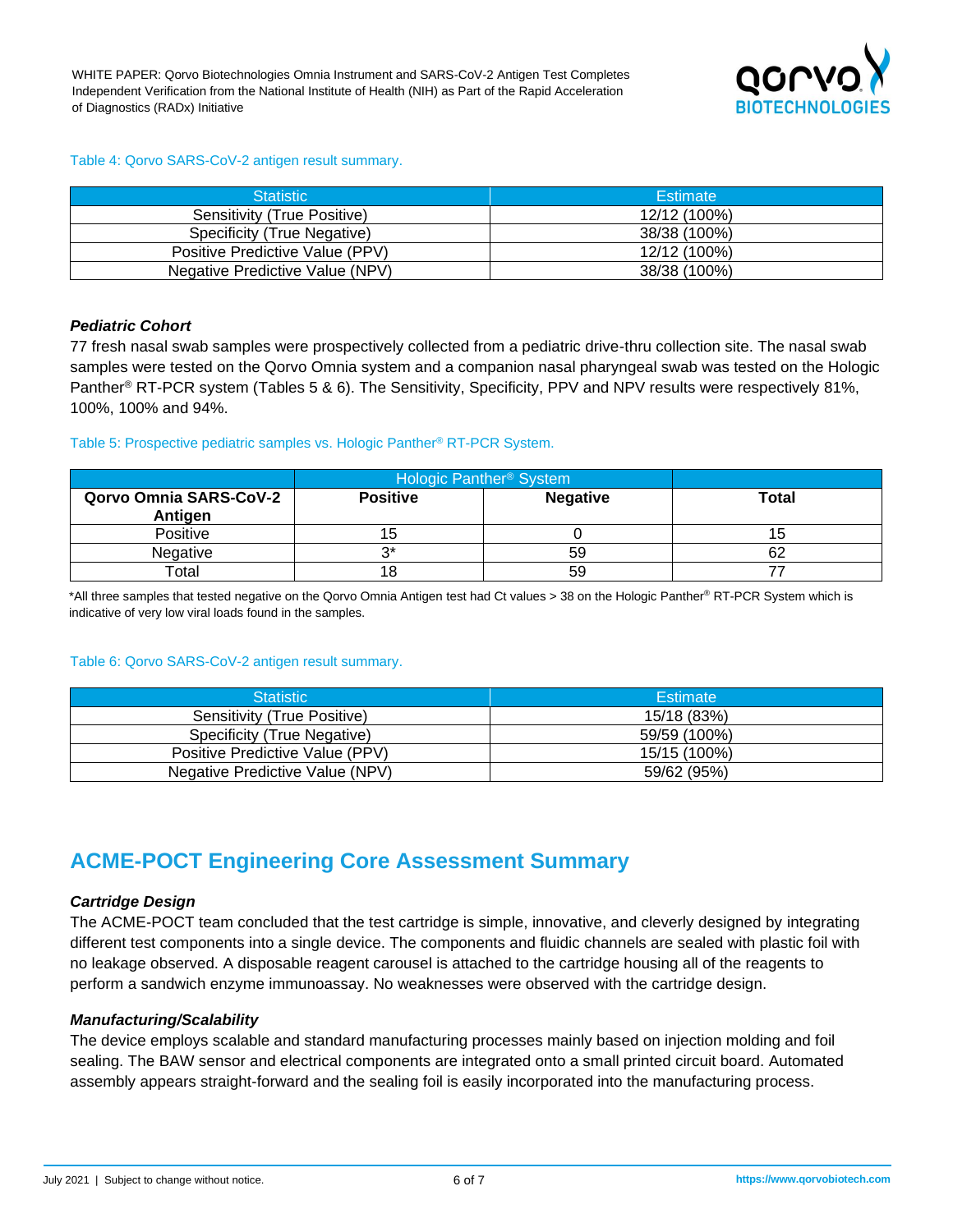

#### Table 4: Qorvo SARS-CoV-2 antigen result summary.

| <b>Statistic</b>                | Estimate     |
|---------------------------------|--------------|
| Sensitivity (True Positive)     | 12/12 (100%) |
| Specificity (True Negative)     | 38/38 (100%) |
| Positive Predictive Value (PPV) | 12/12 (100%) |
| Negative Predictive Value (NPV) | 38/38 (100%) |

#### *Pediatric Cohort*

77 fresh nasal swab samples were prospectively collected from a pediatric drive-thru collection site. The nasal swab samples were tested on the Qorvo Omnia system and a companion nasal pharyngeal swab was tested on the Hologic Panther® RT-PCR system (Tables 5 & 6). The Sensitivity, Specificity, PPV and NPV results were respectively 81%, 100%, 100% and 94%.

#### Table 5: Prospective pediatric samples vs. Hologic Panther® RT-PCR System.

|                                          | Hologic Panther <sup>®</sup> System |                 |              |
|------------------------------------------|-------------------------------------|-----------------|--------------|
| <b>Qorvo Omnia SARS-CoV-2</b><br>Antigen | <b>Positive</b>                     | <b>Negative</b> | <b>Total</b> |
| Positive                                 | đ                                   |                 |              |
| Negative                                 | ົ                                   | 59              | 62           |
| Total                                    | 18                                  | 59              |              |

\*All three samples that tested negative on the Qorvo Omnia Antigen test had Ct values > 38 on the Hologic Panther® RT-PCR System which is indicative of very low viral loads found in the samples.

#### Table 6: Qorvo SARS-CoV-2 antigen result summary.

| <b>Statistic</b>                | Estimate     |
|---------------------------------|--------------|
| Sensitivity (True Positive)     | 15/18 (83%)  |
| Specificity (True Negative)     | 59/59 (100%) |
| Positive Predictive Value (PPV) | 15/15 (100%) |
| Negative Predictive Value (NPV) | 59/62 (95%)  |

## **ACME-POCT Engineering Core Assessment Summary**

#### *Cartridge Design*

The ACME-POCT team concluded that the test cartridge is simple, innovative, and cleverly designed by integrating different test components into a single device. The components and fluidic channels are sealed with plastic foil with no leakage observed. A disposable reagent carousel is attached to the cartridge housing all of the reagents to perform a sandwich enzyme immunoassay. No weaknesses were observed with the cartridge design.

#### *Manufacturing/Scalability*

The device employs scalable and standard manufacturing processes mainly based on injection molding and foil sealing. The BAW sensor and electrical components are integrated onto a small printed circuit board. Automated assembly appears straight-forward and the sealing foil is easily incorporated into the manufacturing process.